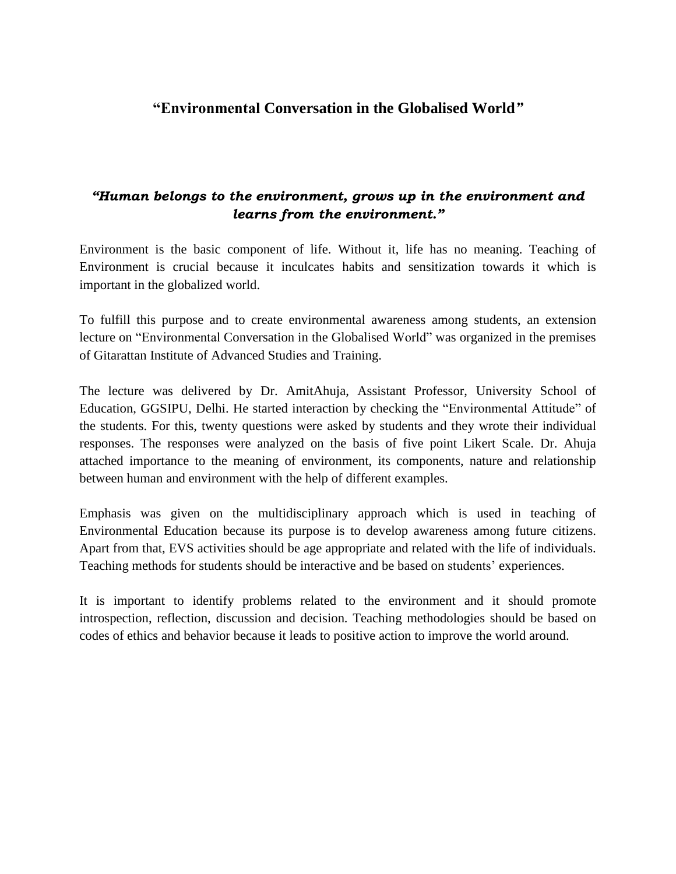## **"Environmental Conversation in the Globalised World***"*

## *"Human belongs to the environment, grows up in the environment and learns from the environment."*

Environment is the basic component of life. Without it, life has no meaning. Teaching of Environment is crucial because it inculcates habits and sensitization towards it which is important in the globalized world.

To fulfill this purpose and to create environmental awareness among students, an extension lecture on "Environmental Conversation in the Globalised World" was organized in the premises of Gitarattan Institute of Advanced Studies and Training.

The lecture was delivered by Dr. AmitAhuja, Assistant Professor, University School of Education, GGSIPU, Delhi. He started interaction by checking the "Environmental Attitude" of the students. For this, twenty questions were asked by students and they wrote their individual responses. The responses were analyzed on the basis of five point Likert Scale. Dr. Ahuja attached importance to the meaning of environment, its components, nature and relationship between human and environment with the help of different examples.

Emphasis was given on the multidisciplinary approach which is used in teaching of Environmental Education because its purpose is to develop awareness among future citizens. Apart from that, EVS activities should be age appropriate and related with the life of individuals. Teaching methods for students should be interactive and be based on students' experiences.

It is important to identify problems related to the environment and it should promote introspection, reflection, discussion and decision. Teaching methodologies should be based on codes of ethics and behavior because it leads to positive action to improve the world around.